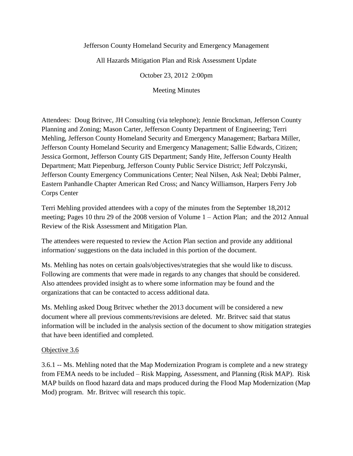#### Jefferson County Homeland Security and Emergency Management

All Hazards Mitigation Plan and Risk Assessment Update

October 23, 2012 2:00pm

Meeting Minutes

Attendees: Doug Britvec, JH Consulting (via telephone); Jennie Brockman, Jefferson County Planning and Zoning; Mason Carter, Jefferson County Department of Engineering; Terri Mehling, Jefferson County Homeland Security and Emergency Management; Barbara Miller, Jefferson County Homeland Security and Emergency Management; Sallie Edwards, Citizen; Jessica Gormont, Jefferson County GIS Department; Sandy Hite, Jefferson County Health Department; Matt Piepenburg, Jefferson County Public Service District; Jeff Polczynski, Jefferson County Emergency Communications Center; Neal Nilsen, Ask Neal; Debbi Palmer, Eastern Panhandle Chapter American Red Cross; and Nancy Williamson, Harpers Ferry Job Corps Center

Terri Mehling provided attendees with a copy of the minutes from the September 18,2012 meeting; Pages 10 thru 29 of the 2008 version of Volume 1 – Action Plan; and the 2012 Annual Review of the Risk Assessment and Mitigation Plan.

The attendees were requested to review the Action Plan section and provide any additional information/ suggestions on the data included in this portion of the document.

Ms. Mehling has notes on certain goals/objectives/strategies that she would like to discuss. Following are comments that were made in regards to any changes that should be considered. Also attendees provided insight as to where some information may be found and the organizations that can be contacted to access additional data.

Ms. Mehling asked Doug Britvec whether the 2013 document will be considered a new document where all previous comments/revisions are deleted. Mr. Britvec said that status information will be included in the analysis section of the document to show mitigation strategies that have been identified and completed.

#### Objective 3.6

3.6.1 -- Ms. Mehling noted that the Map Modernization Program is complete and a new strategy from FEMA needs to be included – Risk Mapping, Assessment, and Planning (Risk MAP). Risk MAP builds on flood hazard data and maps produced during the Flood Map Modernization (Map Mod) program. Mr. Britvec will research this topic.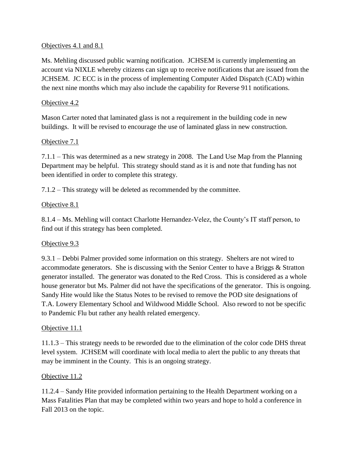#### Objectives 4.1 and 8.1

Ms. Mehling discussed public warning notification. JCHSEM is currently implementing an account via NIXLE whereby citizens can sign up to receive notifications that are issued from the JCHSEM. JC ECC is in the process of implementing Computer Aided Dispatch (CAD) within the next nine months which may also include the capability for Reverse 911 notifications.

## Objective 4.2

Mason Carter noted that laminated glass is not a requirement in the building code in new buildings. It will be revised to encourage the use of laminated glass in new construction.

# Objective 7.1

7.1.1 – This was determined as a new strategy in 2008. The Land Use Map from the Planning Department may be helpful. This strategy should stand as it is and note that funding has not been identified in order to complete this strategy.

7.1.2 – This strategy will be deleted as recommended by the committee.

### Objective 8.1

8.1.4 – Ms. Mehling will contact Charlotte Hernandez-Velez, the County's IT staff person, to find out if this strategy has been completed.

# Objective 9.3

9.3.1 – Debbi Palmer provided some information on this strategy. Shelters are not wired to accommodate generators. She is discussing with the Senior Center to have a Briggs & Stratton generator installed. The generator was donated to the Red Cross. This is considered as a whole house generator but Ms. Palmer did not have the specifications of the generator. This is ongoing. Sandy Hite would like the Status Notes to be revised to remove the POD site designations of T.A. Lowery Elementary School and Wildwood Middle School. Also reword to not be specific to Pandemic Flu but rather any health related emergency.

#### Objective 11.1

11.1.3 – This strategy needs to be reworded due to the elimination of the color code DHS threat level system. JCHSEM will coordinate with local media to alert the public to any threats that may be imminent in the County. This is an ongoing strategy.

#### Objective 11.2

11.2.4 – Sandy Hite provided information pertaining to the Health Department working on a Mass Fatalities Plan that may be completed within two years and hope to hold a conference in Fall 2013 on the topic.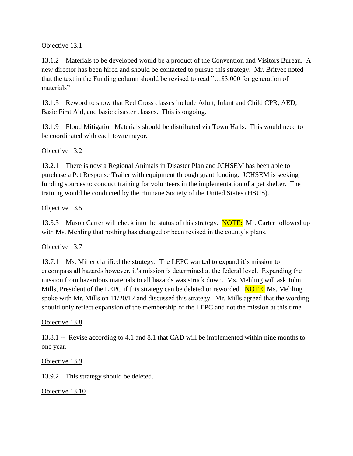#### Objective 13.1

13.1.2 – Materials to be developed would be a product of the Convention and Visitors Bureau. A new director has been hired and should be contacted to pursue this strategy. Mr. Britvec noted that the text in the Funding column should be revised to read "…\$3,000 for generation of materials"

13.1.5 – Reword to show that Red Cross classes include Adult, Infant and Child CPR, AED, Basic First Aid, and basic disaster classes. This is ongoing.

13.1.9 – Flood Mitigation Materials should be distributed via Town Halls. This would need to be coordinated with each town/mayor.

### Objective 13.2

13.2.1 – There is now a Regional Animals in Disaster Plan and JCHSEM has been able to purchase a Pet Response Trailer with equipment through grant funding. JCHSEM is seeking funding sources to conduct training for volunteers in the implementation of a pet shelter. The training would be conducted by the Humane Society of the United States (HSUS).

#### Objective 13.5

13.5.3 – Mason Carter will check into the status of this strategy. NOTE: Mr. Carter followed up with Ms. Mehling that nothing has changed or been revised in the county's plans.

#### Objective 13.7

13.7.1 – Ms. Miller clarified the strategy. The LEPC wanted to expand it's mission to encompass all hazards however, it's mission is determined at the federal level. Expanding the mission from hazardous materials to all hazards was struck down. Ms. Mehling will ask John Mills, President of the LEPC if this strategy can be deleted or reworded. NOTE: Ms. Mehling spoke with Mr. Mills on 11/20/12 and discussed this strategy. Mr. Mills agreed that the wording should only reflect expansion of the membership of the LEPC and not the mission at this time.

#### Objective 13.8

13.8.1 -- Revise according to 4.1 and 8.1 that CAD will be implemented within nine months to one year.

#### Objective 13.9

13.9.2 – This strategy should be deleted.

Objective 13.10